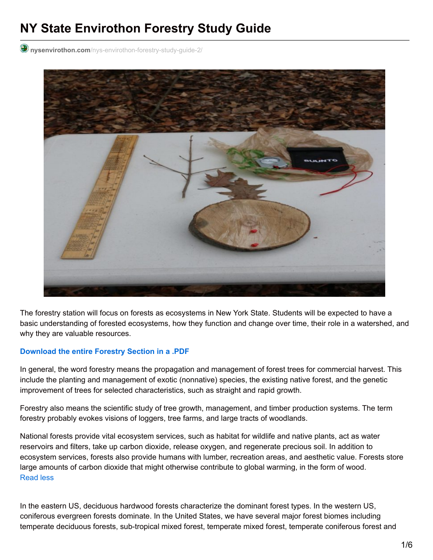# **NY State Envirothon Forestry Study Guide**

**nysenvirothon.com**[/nys-envirothon-forestry-study-guide-2/](http://www.nysenvirothon.com/nys-envirothon-forestry-study-guide-2/)



The forestry station will focus on forests as ecosystems in New York State. Students will be expected to have a basic understanding of forested ecosystems, how they function and change over time, their role in a watershed, and why they are valuable resources.

#### **[Download](http://www.nysenvirothon.net/wp-content/uploads/2016/12/Forestry-Study-Guide.pdf) the entire Forestry Section in a .PDF**

In general, the word forestry means the propagation and management of forest trees for commercial harvest. This include the planting and management of exotic (nonnative) species, the existing native forest, and the genetic improvement of trees for selected characteristics, such as straight and rapid growth.

Forestry also means the scientific study of tree growth, management, and timber production systems. The term forestry probably evokes visions of loggers, tree farms, and large tracts of woodlands.

National forests provide vital ecosystem services, such as habitat for wildlife and native plants, act as water reservoirs and filters, take up carbon dioxide, release oxygen, and regenerate precious soil. In addition to ecosystem services, forests also provide humans with lumber, recreation areas, and aesthetic value. Forests store large amounts of carbon dioxide that might otherwise contribute to global warming, in the form of wood. Read less

In the eastern US, deciduous hardwood forests characterize the dominant forest types. In the western US, coniferous evergreen forests dominate. In the United States, we have several major forest biomes including temperate deciduous forests, sub-tropical mixed forest, temperate mixed forest, temperate coniferous forest and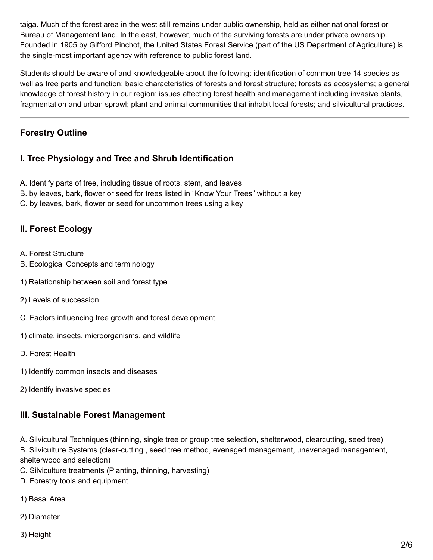taiga. Much of the forest area in the west still remains under public ownership, held as either national forest or Bureau of Management land. In the east, however, much of the surviving forests are under private ownership. Founded in 1905 by Gifford Pinchot, the United States Forest Service (part of the US Department of Agriculture) is the single-most important agency with reference to public forest land.

Students should be aware of and knowledgeable about the following: identification of common tree 14 species as well as tree parts and function; basic characteristics of forests and forest structure; forests as ecosystems; a general knowledge of forest history in our region; issues affecting forest health and management including invasive plants, fragmentation and urban sprawl; plant and animal communities that inhabit local forests; and silvicultural practices.

# **Forestry Outline**

# **I. Tree Physiology and Tree and Shrub Identification**

- A. Identify parts of tree, including tissue of roots, stem, and leaves
- B. by leaves, bark, flower or seed for trees listed in "Know Your Trees" without a key
- C. by leaves, bark, flower or seed for uncommon trees using a key

# **II. Forest Ecology**

- A. Forest Structure
- B. Ecological Concepts and terminology
- 1) Relationship between soil and forest type
- 2) Levels of succession
- C. Factors influencing tree growth and forest development
- 1) climate, insects, microorganisms, and wildlife
- D. Forest Health
- 1) Identify common insects and diseases
- 2) Identify invasive species

## **III. Sustainable Forest Management**

A. Silvicultural Techniques (thinning, single tree or group tree selection, shelterwood, clearcutting, seed tree) B. Silviculture Systems (clear-cutting , seed tree method, evenaged management, unevenaged management, shelterwood and selection)

- C. Silviculture treatments (Planting, thinning, harvesting)
- D. Forestry tools and equipment
- 1) Basal Area
- 2) Diameter
- 3) Height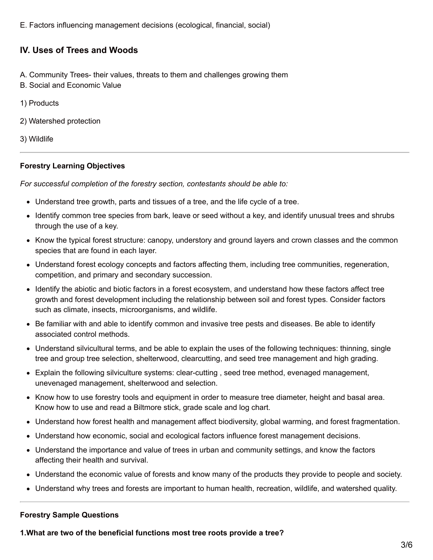E. Factors influencing management decisions (ecological, financial, social)

## **IV. Uses of Trees and Woods**

- A. Community Trees- their values, threats to them and challenges growing them
- B. Social and Economic Value
- 1) Products
- 2) Watershed protection
- 3) Wildlife

#### **Forestry Learning Objectives**

*For successful completion of the forestry section, contestants should be able to:*

- Understand tree growth, parts and tissues of a tree, and the life cycle of a tree.
- Identify common tree species from bark, leave or seed without a key, and identify unusual trees and shrubs through the use of a key.
- Know the typical forest structure: canopy, understory and ground layers and crown classes and the common species that are found in each layer.
- Understand forest ecology concepts and factors affecting them, including tree communities, regeneration, competition, and primary and secondary succession.
- Identify the abiotic and biotic factors in a forest ecosystem, and understand how these factors affect tree growth and forest development including the relationship between soil and forest types. Consider factors such as climate, insects, microorganisms, and wildlife.
- Be familiar with and able to identify common and invasive tree pests and diseases. Be able to identify associated control methods.
- Understand silvicultural terms, and be able to explain the uses of the following techniques: thinning, single tree and group tree selection, shelterwood, clearcutting, and seed tree management and high grading.
- Explain the following silviculture systems: clear-cutting , seed tree method, evenaged management, unevenaged management, shelterwood and selection.
- Know how to use forestry tools and equipment in order to measure tree diameter, height and basal area. Know how to use and read a Biltmore stick, grade scale and log chart.
- Understand how forest health and management affect biodiversity, global warming, and forest fragmentation.
- Understand how economic, social and ecological factors influence forest management decisions.
- Understand the importance and value of trees in urban and community settings, and know the factors affecting their health and survival.
- Understand the economic value of forests and know many of the products they provide to people and society.
- Understand why trees and forests are important to human health, recreation, wildlife, and watershed quality.

#### **Forestry Sample Questions**

**1.What are two of the beneficial functions most tree roots provide a tree?**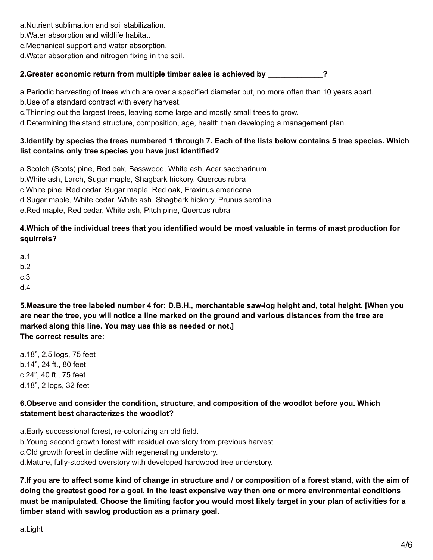- a.Nutrient sublimation and soil stabilization.
- b.Water absorption and wildlife habitat.
- c.Mechanical support and water absorption.
- d.Water absorption and nitrogen fixing in the soil.

# **2.Greater economic return from multiple timber sales is achieved by \_\_\_\_\_\_\_\_\_\_\_\_\_?**

a.Periodic harvesting of trees which are over a specified diameter but, no more often than 10 years apart. b.Use of a standard contract with every harvest.

c.Thinning out the largest trees, leaving some large and mostly small trees to grow.

d.Determining the stand structure, composition, age, health then developing a management plan.

# 3. Identify by species the trees numbered 1 through 7. Each of the lists below contains 5 tree species. Which **list contains only tree species you have just identified?**

a.Scotch (Scots) pine, Red oak, Basswood, White ash, Acer saccharinum b.White ash, Larch, Sugar maple, Shagbark hickory, Quercus rubra c.White pine, Red cedar, Sugar maple, Red oak, Fraxinus americana d.Sugar maple, White cedar, White ash, Shagbark hickory, Prunus serotina e.Red maple, Red cedar, White ash, Pitch pine, Quercus rubra

# 4. Which of the individual trees that you identified would be most valuable in terms of mast production for **squirrels?**

- a.1
- b.2
- c.3
- d.4

**5.Measure the tree labeled number 4 for: D.B.H., merchantable saw-log height and, total height. [When you** are near the tree, you will notice a line marked on the ground and various distances from the tree are **marked along this line. You may use this as needed or not.] The correct results are:**

a.18", 2.5 logs, 75 feet b.14", 24 ft., 80 feet c.24", 40 ft., 75 feet d.18", 2 logs, 32 feet

# **6.Observe and consider the condition, structure, and composition of the woodlot before you. Which statement best characterizes the woodlot?**

a.Early successional forest, re-colonizing an old field.

b.Young second growth forest with residual overstory from previous harvest

c.Old growth forest in decline with regenerating understory.

d.Mature, fully-stocked overstory with developed hardwood tree understory.

7. If you are to affect some kind of change in structure and / or composition of a forest stand, with the aim of doing the greatest good for a goal, in the least expensive way then one or more environmental conditions must be manipulated. Choose the limiting factor you would most likely target in your plan of activities for a **timber stand with sawlog production as a primary goal.**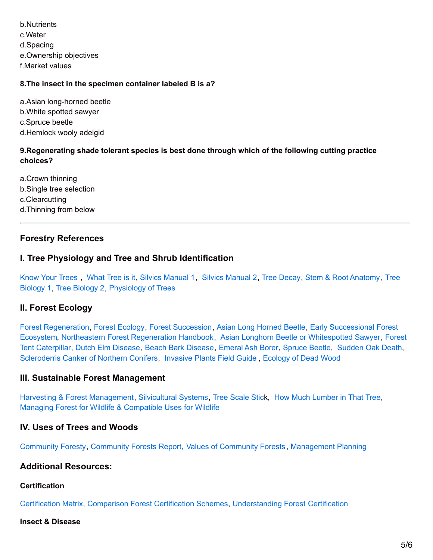b.Nutrients c.Water d.Spacing e.Ownership objectives f.Market values

## **8.The insect in the specimen container labeled B is a?**

a.Asian long-horned beetle b.White spotted sawyer c.Spruce beetle d.Hemlock wooly adelgid

## **9.Regenerating shade tolerant species is best done through which of the following cutting practice choices?**

a.Crown thinning b.Single tree selection c.Clearcutting d.Thinning from below

## **Forestry References**

## **I. Tree Physiology and Tree and Shrub Identification**

[Know](http://www.nysenvirothon.com/Referencesandother/Know_Your_Trees.pdf) Your Trees , [What](http://www.nysenvirothon.com/Referencesandother/What_Tree_Is_It.pdf) Tree is it, Silvics [Manual](http://www.nysenvirothon.com/Referencesandother/silvics_vol1.pdf) 1, Silvics [Manual](http://www.nysenvirothon.com/Referencesandother/silvics_v2.pdf) 2, Tree [Decay](http://www.nysenvirothon.com/Referencesandother/treedecay.pdf), Stem & Root [Anatomy](http://www.nysenvirothon.com/Referencesandother/Stem___Root_Anatomy.pdf), Tree Biology 1, Tree [Biology](http://www.nysenvirothon.com/Referencesandother/Tree_Biology2.pdf) 2, [Physiology](http://www.nysenvirothon.com/Referencesandother/Tree_Biology1.pdf) of Trees

## **II. Forest Ecology**

Forest [Regeneration,](http://www.nysenvirothon.com/Referencesandother/Early_Successional_Forest_Ecosystems.pdf) Forest [Ecology](http://www.nysenvirothon.com/Referencesandother/Forest_Ecology.pdf), Forest [Succession](http://www.nysenvirothon.com/Referencesandother/ForestSuccession.pdf), Asian Long [Horned](http://www.nysenvirothon.com/Referencesandother/Asian_Longhorned_Beetle_or.pdf) Beetle, Early Successional Forest Ecosystem, Northeastern Forest [Regeneration](http://www.nysenvirothon.com/Referencesandother/Forest_Tent_Caterpillar.pdf) Handbook, Asian Longhorn Beetle or [Whitespotted](http://www.nysenvirothon.com/Referencesandother/Asian_Longhorned_Beetle_or.pdf) Sawyer, Forest Tent Caterpillar, Dutch Elm [Disease](http://www.nysenvirothon.com/Referencesandother/Dutch_Elm_Disease.pdf), Beach Bark [Disease](http://www.nysenvirothon.com/Referencesandother/Beech_Bark_Disease.pdf), [Emeral](http://www.nysenvirothon.com/Referencesandother/Emerald_Ash_Borer.pdf) Ash Borer, [Spruce](http://www.nysenvirothon.com/Referencesandother/Spruce_Beetle.pdf) Beetle, [Sudden](http://www.nysenvirothon.com/Referencesandother/Sudden_Oak_Death.pdf) Oak Death, [Scleroderris](http://www.nysenvirothon.com/Referencesandother/Scleroderris_Canker_of_northern_Conifers.pdf) Canker of Northern Conifers, [Invasive](http://www.nysenvirothon.com/Referencesandother/ip_field_guide.pdf) Plants Field Guide , [Ecology](http://www.nysenvirothon.com/Referencesandother/ecology_of_dead_wood.pdf) of Dead Wood

## **III. Sustainable Forest Management**

Harvesting & Forest [Management,](http://www.nysenvirothon.com/Referencesandother/Harvesting_and_Forest_Management.pdf) [Silvicultural](http://www.nysenvirothon.com/Referencesandother/Silvicultural_Systems.pdf) Systems, Tree [Scale](http://www.nysenvirothon.com/Referencesandother/Tree_Scale_Stick.pdf) Stick, How Much [Lumber](http://www.nysenvirothon.com/Referencesandother/How_Much_Lumber_in_That_Tree.pdf) in That Tree, Managing Forest for Wildlife & [Compatible](http://www.nysenvirothon.com/Referencesandother/Managing_Forest_for_wildlife.pdf) Uses for [Wildlife](http://www.nysenvirothon.com/Referencesandother/Managing_Forest_for_wildlife.pdf)

## **IV. Uses of Trees and Woods**

[Community](http://www.nysenvirothon.com/Referencesandother/Community_Forestry.pdf) Foresty, [Community](http://www.nysenvirothon.com/Referencesandother/Community_Forests_Report_web.pdf) Forests Report, Values of [Community](http://www.nysenvirothon.com/Referencesandother/values_of_community_forests.pdf) Forests, [Management](http://www.nysenvirothon.com/Referencesandother/Forest_Management_Planning.pdf) Planning

## **Additional Resources:**

#### **Certification**

[Certification](http://www.nysenvirothon.com/Referencesandother/Certification_matrix_1_.pdf) Matrix, [Comparison](http://www.nysenvirothon.com/Referencesandother/Comparison_of_Forest_Certification_Schemes.pdf) Forest Certification Schemes, [Understanding](http://www.nysenvirothon.com/Referencesandother/Understanding_Forest_Certification.pdf) Forest [Certification](http://www.nysenvirothon.com/Referencesandother/Understanding_Forest_Certification.pdf)

#### **Insect & Disease**